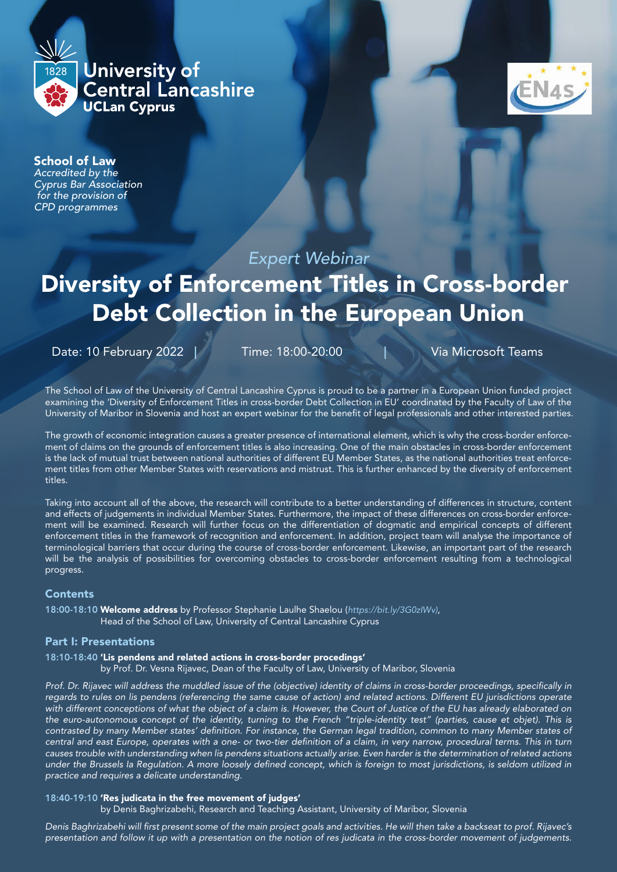



# School of Law

*Accredited by the Cyprus Bar Association for the provision of CPD programmes*

# *Expert Webinar*

# Diversity of Enforcement Titles in Cross-border Debt Collection in the European Union

Date: 10 February 2022 | Time: 18:00-20:00 | Via Microsoft Teams

The School of Law of the University of Central Lancashire Cyprus is proud to be a partner in a European Union funded project examining the 'Diversity of Enforcement Titles in cross-border Debt Collection in EU' coordinated by the Faculty of Law of the University of Maribor in Slovenia and host an expert webinar for the benefit of legal professionals and other interested parties.

The growth of economic integration causes a greater presence of international element, which is why the cross-border enforcement of claims on the grounds of enforcement titles is also increasing. One of the main obstacles in cross-border enforcement is the lack of mutual trust between national authorities of different EU Member States, as the national authorities treat enforcement titles from other Member States with reservations and mistrust. This is further enhanced by the diversity of enforcement titles.

Taking into account all of the above, the research will contribute to a better understanding of differences in structure, content and effects of judgements in individual Member States. Furthermore, the impact of these differences on cross-border enforcement will be examined. Research will further focus on the differentiation of dogmatic and empirical concepts of different enforcement titles in the framework of recognition and enforcement. In addition, project team will analyse the importance of terminological barriers that occur during the course of cross-border enforcement. Likewise, an important part of the research will be the analysis of possibilities for overcoming obstacles to cross-border enforcement resulting from a technological progress.

#### **Contents**

18:00-18:10 Welcome address by Professor Stephanie Laulhe Shaelou (*https://bit.ly/3G0zIWv)*, Head of the School of Law, University of Central Lancashire Cyprus

#### Part I: Presentations

#### 18:10-18:40 'Lis pendens and related actions in cross-border procedings'

by Prof. Dr. Vesna Rijavec, Dean of the Faculty of Law, University of Maribor, Slovenia

*Prof. Dr. Rijavec will address the muddled issue of the (objective) identity of claims in cross-border proceedings, specifically in regards to rules on lis pendens (referencing the same cause of action) and related actions. Different EU jurisdictions operate with different conceptions of what the object of a claim is. However, the Court of Justice of the EU has already elaborated on the euro-autonomous concept of the identity, turning to the French "triple-identity test" (parties, cause et objet). This is contrasted by many Member states' definition. For instance, the German legal tradition, common to many Member states of central and east Europe, operates with a one- or two-tier definition of a claim, in very narrow, procedural terms. This in turn causes trouble with understanding when lis pendens situations actually arise. Even harder is the determination of related actions under the Brussels Ia Regulation. A more loosely defined concept, which is foreign to most jurisdictions, is seldom utilized in practice and requires a delicate understanding.*

#### 18:40-19:10 'Res judicata in the free movement of judges'

by Denis Baghrizabehi, Research and Teaching Assistant, University of Maribor, Slovenia

*Denis Baghrizabehi will first present some of the main project goals and activities. He will then take a backseat to prof. Rijavec's presentation and follow it up with a presentation on the notion of res judicata in the cross-border movement of judgements.*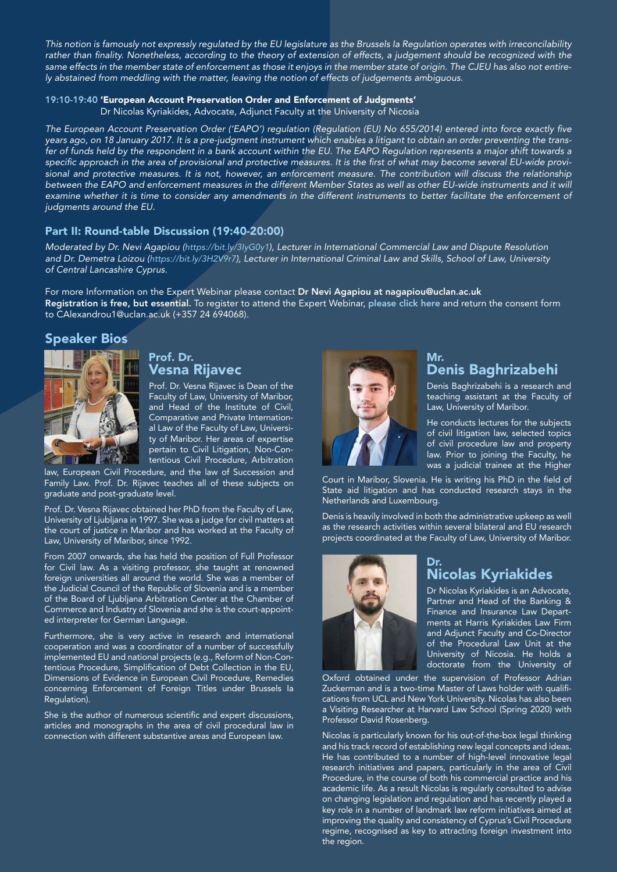*This notion is famously not expressly regulated by the EU legislature as the Brussels Ia Regulation operates with irreconcilability rather than finality. Nonetheless, according to the theory of extension of effects, a judgement should be recognized with the same effects in the member state of enforcement as those it enjoys in the member state of origin. The CJEU has also not entirely abstained from meddling with the matter, leaving the notion of effects of judgements ambiguous.*

#### 19:10-19:40 'European Account Preservation Order and Enforcement of Judgments'

Dr Nicolas Kyriakides, Advocate, Adjunct Faculty at the University of Nicosia

*The European Account Preservation Order ('EAPO') regulation (Regulation (EU) No 655/2014) entered into force exactly five years ago, on 18 January 2017. It is a pre-judgment instrument which enables a litigant to obtain an order preventing the transfer of funds held by the respondent in a bank account within the EU. The EAPO Regulation represents a major shift towards a specific approach in the area of provisional and protective measures. It is the first of what may become several EU-wide provisional and protective measures. It is not, however, an enforcement measure. The contribution will discuss the relationship between the EAPO and enforcement measures in the different Member States as well as other EU-wide instruments and it will examine whether it is time to consider any amendments in the different instruments to better facilitate the enforcement of judgments around the EU.*

#### Part II: Round-table Discussion (19:40-20:00)

*Moderated by Dr. Nevi Agapiou (https://bit.ly/3IyG0y1), Lecturer in International Commercial Law and Dispute Resolution and Dr. Demetra Loizou (https://bit.ly/3H2V9r7), Lecturer in International Criminal Law and Skills, School of Law, University of Central Lancashire Cyprus.*

For more Information on the Expert Webinar please contact Dr Nevi Agapiou at nagapiou@uclan.ac.uk Registration is free, but essential. To register to attend the Expert Webinar, [please click here](https://www.uclancyprus.ac.cy/wp-content/uploads/2022/01/Event_Diversity-of-Enforcement-Consent-Form_FINAL-Fill.pdf) and return the consent form to CAlexandrou1@uclan.ac.uk (+357 24 694068).

# Speaker Bios



# Prof. Dr. Vesna Rijavec

Prof. Dr. Vesna Rijavec is Dean of the Faculty of Law, University of Maribor, and Head of the Institute of Civil, Comparative and Private International Law of the Faculty of Law, University of Maribor. Her areas of expertise pertain to Civil Litigation, Non-Contentious Civil Procedure, Arbitration

law, European Civil Procedure, and the law of Succession and Family Law. Prof. Dr. Rijavec teaches all of these subjects on graduate and post-graduate level.

Prof. Dr. Vesna Rijavec obtained her PhD from the Faculty of Law, University of Ljubljana in 1997. She was a judge for civil matters at the court of justice in Maribor and has worked at the Faculty of Law, University of Maribor, since 1992.

From 2007 onwards, she has held the position of Full Professor for Civil law. As a visiting professor, she taught at renowned foreign universities all around the world. She was a member of the Judicial Council of the Republic of Slovenia and is a member of the Board of Ljubljana Arbitration Center at the Chamber of Commerce and Industry of Slovenia and she is the court-appointed interpreter for German Language.

Furthermore, she is very active in research and international cooperation and was a coordinator of a number of successfully implemented EU and national projects (e.g., Reform of Non-Contentious Procedure, Simplification of Debt Collection in the EU, Dimensions of Evidence in European Civil Procedure, Remedies concerning Enforcement of Foreign Titles under Brussels Ia Regulation).

She is the author of numerous scientific and expert discussions, articles and monographs in the area of civil procedural law in connection with different substantive areas and European law.



# Mr. Denis Baghrizabehi

Denis Baghrizabehi is a research and teaching assistant at the Faculty of Law, University of Maribor.

He conducts lectures for the subjects of civil litigation law, selected topics of civil procedure law and property law. Prior to joining the Faculty, he was a judicial trainee at the Higher

Court in Maribor, Slovenia. He is writing his PhD in the field of State aid litigation and has conducted research stays in the Netherlands and Luxembourg.

Denis is heavily involved in both the administrative upkeep as well as the research activities within several bilateral and EU research projects coordinated at the Faculty of Law, University of Maribor.



# Dr. Nicolas Kyriakides

Dr Nicolas Kyriakides is an Advocate, Partner and Head of the Banking & Finance and Insurance Law Departments at Harris Kyriakides Law Firm and Adjunct Faculty and Co-Director of the Procedural Law Unit at the University of Nicosia. He holds a doctorate from the University of

Oxford obtained under the supervision of Professor Adrian Zuckerman and is a two-time Master of Laws holder with qualifications from UCL and New York University. Nicolas has also been a Visiting Researcher at Harvard Law School (Spring 2020) with Professor David Rosenberg.

Nicolas is particularly known for his out-of-the-box legal thinking and his track record of establishing new legal concepts and ideas. He has contributed to a number of high-level innovative legal research initiatives and papers, particularly in the area of Civil Procedure, in the course of both his commercial practice and his academic life. As a result Nicolas is regularly consulted to advise on changing legislation and regulation and has recently played a key role in a number of landmark law reform initiatives aimed at improving the quality and consistency of Cyprus's Civil Procedure regime, recognised as key to attracting foreign investment into the region.